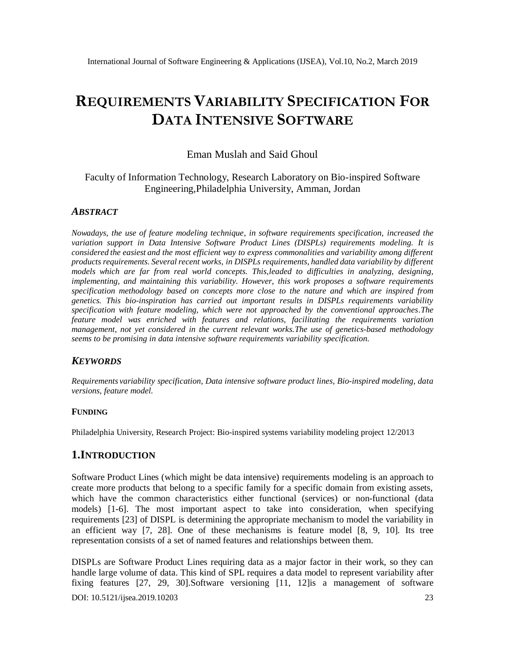# **REQUIREMENTS VARIABILITY SPECIFICATION FOR DATA INTENSIVE SOFTWARE**

#### Eman Muslah and Said Ghoul

### Faculty of Information Technology, Research Laboratory on Bio-inspired Software Engineering,Philadelphia University, Amman, Jordan

#### *ABSTRACT*

*Nowadays, the use of feature modeling technique, in software requirements specification, increased the variation support in Data Intensive Software Product Lines (DISPLs) requirements modeling. It is considered the easiest and the most efficient way to express commonalities and variability among different products requirements. Several recent works, in DISPLs requirements, handled data variability by different models which are far from real world concepts. This,leaded to difficulties in analyzing, designing, implementing, and maintaining this variability. However, this work proposes a software requirements specification methodology based on concepts more close to the nature and which are inspired from genetics. This bio-inspiration has carried out important results in DISPLs requirements variability specification with feature modeling, which were not approached by the conventional approaches.The feature model was enriched with features and relations, facilitating the requirements variation management, not yet considered in the current relevant works.The use of genetics-based methodology seems to be promising in data intensive software requirements variability specification.* 

#### *KEYWORDS*

*Requirements variability specification, Data intensive software product lines, Bio-inspired modeling, data versions, feature model.*

#### **FUNDING**

Philadelphia University, Research Project: Bio-inspired systems variability modeling project 12/2013

#### **1.INTRODUCTION**

Software Product Lines (which might be data intensive) requirements modeling is an approach to create more products that belong to a specific family for a specific domain from existing assets, which have the common characteristics either functional (services) or non-functional (data models) [1-6]. The most important aspect to take into consideration, when specifying requirements [23] of DISPL is determining the appropriate mechanism to model the variability in an efficient way [7, 28]. One of these mechanisms is feature model [8, 9, 10]. Its tree representation consists of a set of named features and relationships between them.

DISPLs are Software Product Lines requiring data as a major factor in their work, so they can handle large volume of data. This kind of SPL requires a data model to represent variability after fixing features [27, 29, 30].Software versioning [11, 12]is a management of software

DOI: 10.5121/ijsea.2019.10203 23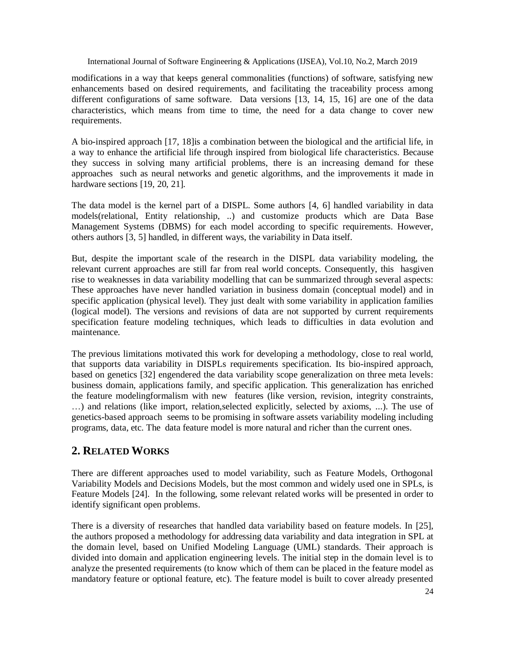modifications in a way that keeps general commonalities (functions) of software, satisfying new enhancements based on desired requirements, and facilitating the traceability process among different configurations of same software. Data versions [13, 14, 15, 16] are one of the data characteristics, which means from time to time, the need for a data change to cover new requirements.

A bio-inspired approach [17, 18]is a combination between the biological and the artificial life, in a way to enhance the artificial life through inspired from biological life characteristics. Because they success in solving many artificial problems, there is an increasing demand for these approaches such as neural networks and genetic algorithms, and the improvements it made in hardware sections [19, 20, 21].

The data model is the kernel part of a DISPL. Some authors [4, 6] handled variability in data models(relational, Entity relationship, ..) and customize products which are Data Base Management Systems (DBMS) for each model according to specific requirements. However, others authors [3, 5] handled, in different ways, the variability in Data itself.

But, despite the important scale of the research in the DISPL data variability modeling, the relevant current approaches are still far from real world concepts. Consequently, this hasgiven rise to weaknesses in data variability modelling that can be summarized through several aspects: These approaches have never handled variation in business domain (conceptual model) and in specific application (physical level). They just dealt with some variability in application families (logical model). The versions and revisions of data are not supported by current requirements specification feature modeling techniques, which leads to difficulties in data evolution and maintenance.

The previous limitations motivated this work for developing a methodology, close to real world, that supports data variability in DISPLs requirements specification. Its bio-inspired approach, based on genetics [32] engendered the data variability scope generalization on three meta levels: business domain, applications family, and specific application. This generalization has enriched the feature modelingformalism with new features (like version, revision, integrity constraints, …) and relations (like import, relation,selected explicitly, selected by axioms, ...). The use of genetics-based approach seems to be promising in software assets variability modeling including programs, data, etc. The data feature model is more natural and richer than the current ones.

## **2. RELATED WORKS**

There are different approaches used to model variability, such as Feature Models, Orthogonal Variability Models and Decisions Models, but the most common and widely used one in SPLs, is Feature Models [24]. In the following, some relevant related works will be presented in order to identify significant open problems.

There is a diversity of researches that handled data variability based on feature models. In [25], the authors proposed a methodology for addressing data variability and data integration in SPL at the domain level, based on Unified Modeling Language (UML) standards. Their approach is divided into domain and application engineering levels. The initial step in the domain level is to analyze the presented requirements (to know which of them can be placed in the feature model as mandatory feature or optional feature, etc). The feature model is built to cover already presented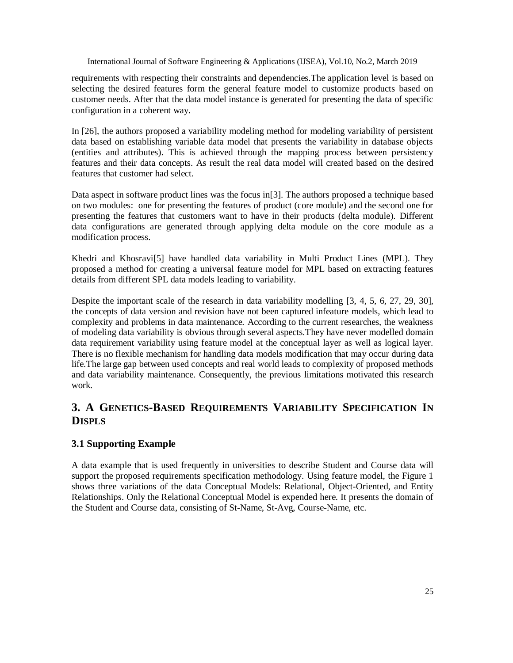requirements with respecting their constraints and dependencies.The application level is based on selecting the desired features form the general feature model to customize products based on customer needs. After that the data model instance is generated for presenting the data of specific configuration in a coherent way.

In [26], the authors proposed a variability modeling method for modeling variability of persistent data based on establishing variable data model that presents the variability in database objects (entities and attributes). This is achieved through the mapping process between persistency features and their data concepts. As result the real data model will created based on the desired features that customer had select.

Data aspect in software product lines was the focus in[3]. The authors proposed a technique based on two modules: one for presenting the features of product (core module) and the second one for presenting the features that customers want to have in their products (delta module). Different data configurations are generated through applying delta module on the core module as a modification process.

Khedri and Khosravi[5] have handled data variability in Multi Product Lines (MPL). They proposed a method for creating a universal feature model for MPL based on extracting features details from different SPL data models leading to variability.

Despite the important scale of the research in data variability modelling [3, 4, 5, 6, 27, 29, 30], the concepts of data version and revision have not been captured infeature models, which lead to complexity and problems in data maintenance. According to the current researches, the weakness of modeling data variability is obvious through several aspects.They have never modelled domain data requirement variability using feature model at the conceptual layer as well as logical layer. There is no flexible mechanism for handling data models modification that may occur during data life.The large gap between used concepts and real world leads to complexity of proposed methods and data variability maintenance. Consequently, the previous limitations motivated this research work.

## **3. A GENETICS-BASED REQUIREMENTS VARIABILITY SPECIFICATION IN DISPLS**

## **3.1 Supporting Example**

A data example that is used frequently in universities to describe Student and Course data will support the proposed requirements specification methodology. Using feature model, the Figure 1 shows three variations of the data Conceptual Models: Relational, Object-Oriented, and Entity Relationships. Only the Relational Conceptual Model is expended here. It presents the domain of the Student and Course data, consisting of St-Name, St-Avg, Course-Name, etc.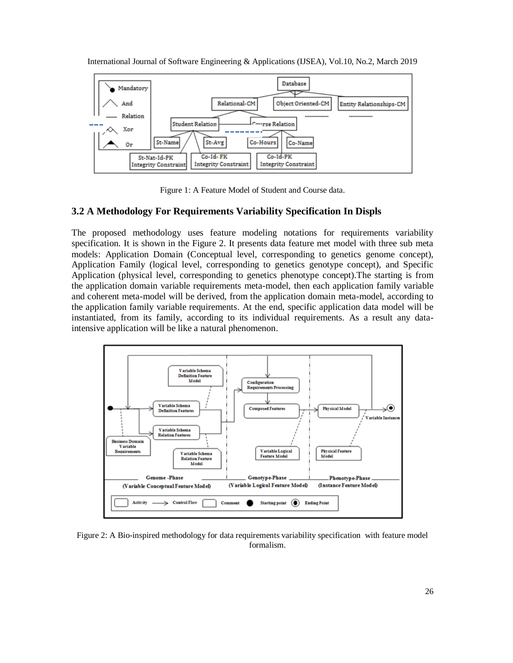



Figure 1: A Feature Model of Student and Course data.

#### **3.2 A Methodology For Requirements Variability Specification In Displs**

The proposed methodology uses feature modeling notations for requirements variability specification. It is shown in the Figure 2. It presents data feature met model with three sub meta models: Application Domain (Conceptual level, corresponding to genetics genome concept), Application Family (logical level, corresponding to genetics genotype concept), and Specific Application (physical level, corresponding to genetics phenotype concept).The starting is from the application domain variable requirements meta-model, then each application family variable and coherent meta-model will be derived, from the application domain meta-model, according to the application family variable requirements. At the end, specific application data model will be instantiated, from its family, according to its individual requirements. As a result any dataintensive application will be like a natural phenomenon.



Figure 2: A Bio-inspired methodology for data requirements variability specification with feature model formalism.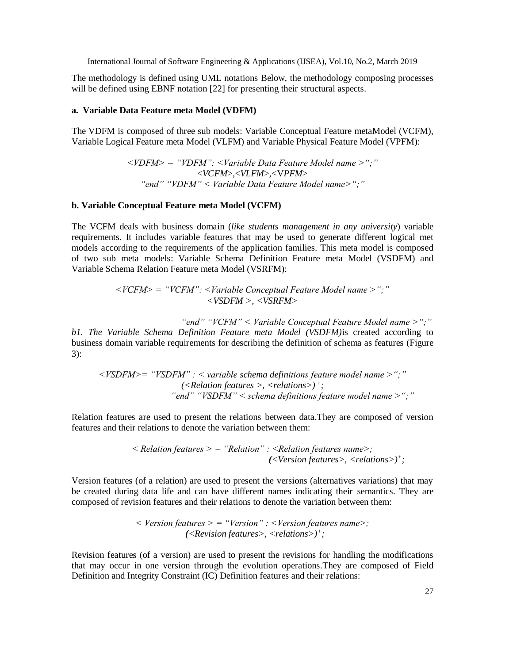The methodology is defined using UML notations Below, the methodology composing processes will be defined using EBNF notation [22] for presenting their structural aspects.

#### **a. Variable Data Feature meta Model (VDFM)**

The VDFM is composed of three sub models: Variable Conceptual Feature metaModel (VCFM), Variable Logical Feature meta Model (VLFM) and Variable Physical Feature Model (VPFM):

> *<VDFM> = "VDFM": <Variable Data Feature Model name >";"* <*VCFM*>*,*<*VLFM*>*,*<V*PFM*> *"end" "VDFM" < Variable Data Feature Model name>";"*

#### **b. Variable Conceptual Feature meta Model (VCFM)**

The VCFM deals with business domain (*like students management in any university*) variable requirements. It includes variable features that may be used to generate different logical met models according to the requirements of the application families. This meta model is composed of two sub meta models: Variable Schema Definition Feature meta Model (VSDFM) and Variable Schema Relation Feature meta Model (VSRFM):

> *<VCFM> = "VCFM": <Variable Conceptual Feature Model name >";" <VSDFM >, <VSRFM>*

> > *"end" "VCFM" < Variable Conceptual Feature Model name >";"*

*b1. The Variable Schema Definition Feature meta Model (VSDFM)*is created according to business domain variable requirements for describing the definition of schema as features (Figure 3):

*<VSDFM>= "VSDFM" : < variable schema definitions feature model name >";" (<Relation features >, <relations>) <sup>+</sup> ; "end" "VSDFM" < schema definitions feature model name >";"*

Relation features are used to present the relations between data.They are composed of version features and their relations to denote the variation between them:

*< Relation features > = "Relation" : <Relation features name>; (<Version features>, <relations>)<sup>+</sup> ;*

Version features (of a relation) are used to present the versions (alternatives variations) that may be created during data life and can have different names indicating their semantics. They are composed of revision features and their relations to denote the variation between them:

> *< Version features > = "Version" : <Version features name>; (<Revision features>, <relations>)<sup>+</sup> ;*

Revision features (of a version) are used to present the revisions for handling the modifications that may occur in one version through the evolution operations.They are composed of Field Definition and Integrity Constraint (IC) Definition features and their relations: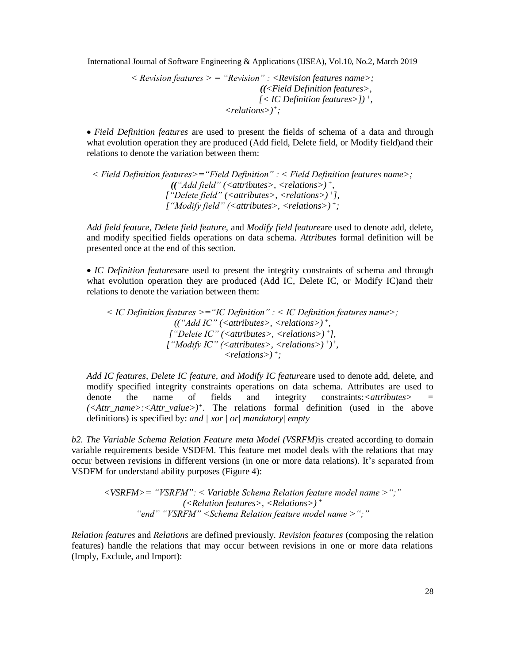$$
\langle\text{Revision features}\rangle = \text{``Revision''}: \langle\text{Revision features name}\rangle;
$$
\n
$$
(\langle\text{Field Definition features}\rangle, \langle\text{ICL Definition features}\rangle)\text{''};
$$
\n
$$
\langle\text{relations}\rangle\text{''};
$$

 *Field Definition features* are used to present the fields of schema of a data and through what evolution operation they are produced (Add field, Delete field, or Modify field)and their relations to denote the variation between them:

*< Field Definition features>="Field Definition" : < Field Definition features name>; (("Add field" (<attributes>, <relations>) <sup>+</sup> , ["Delete field" (<attributes>, <relations>) <sup>+</sup> ], ["Modify field" (<attributes>, <relations>) <sup>+</sup> ;*

*Add field feature, Delete field feature,* and *Modify field feature*are used to denote add, delete, and modify specified fields operations on data schema. *Attributes* formal definition will be presented once at the end of this section.

 *IC Definition features*are used to present the integrity constraints of schema and through what evolution operation they are produced (Add IC, Delete IC, or Modify IC)and their relations to denote the variation between them:

*< IC Definition features >="IC Definition" : < IC Definition features name>; (("Add IC" (<attributes>, <relations>) <sup>+</sup> , ["Delete IC" (<attributes>, <relations>) <sup>+</sup> ],*  $[$ "*Modify IC"* (<attributes>, <relations>)<sup>+</sup>)<sup>+</sup>, *<relations>) <sup>+</sup> ;*

*Add IC features, Delete IC feature, and Modify IC feature*are used to denote add, delete, and modify specified integrity constraints operations on data schema. Attributes are used to denote the name of fields and integrity constraints:*<attributes> = (<Attr\_name>:<Attr\_value>)<sup>+</sup> .* The relations formal definition (used in the above definitions) is specified by: *and | xor | or| mandatory| empty*

*b2. The Variable Schema Relation Feature meta Model (VSRFM)*is created according to domain variable requirements beside VSDFM. This feature met model deals with the relations that may occur between revisions in different versions (in one or more data relations). It's separated from VSDFM for understand ability purposes (Figure 4):

*<VSRFM>= "VSRFM": < Variable Schema Relation feature model name >";" (<Relation features>, <Relations>) <sup>+</sup> "end" "VSRFM" <Schema Relation feature model name >";"*

*Relation features* and *Relations* are defined previously. *Revision features* (composing the relation features) handle the relations that may occur between revisions in one or more data relations (Imply, Exclude, and Import):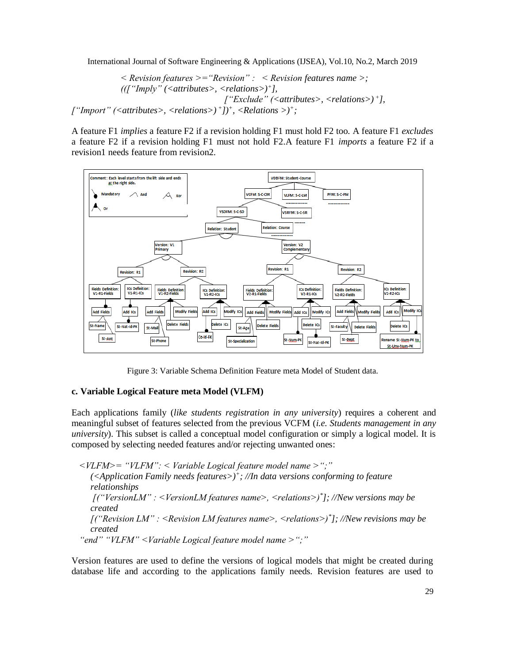*< Revision features >="Revision" : < Revision features name >; ((["Imply" (<attributes>, <relations>)<sup>+</sup> ], ["Exclude" (<attributes>, <relations>) <sup>+</sup> ], ["Import" (<attributes>, <relations>) <sup>+</sup> ])<sup>+</sup> , <Relations >)<sup>+</sup> ;*

A feature F1 *implies* a feature F2 if a revision holding F1 must hold F2 too. A feature F1 *excludes* a feature F2 if a revision holding F1 must not hold F2.A feature F1 *imports* a feature F2 if a revision1 needs feature from revision2.



Figure 3: Variable Schema Definition Feature meta Model of Student data.

#### **c. Variable Logical Feature meta Model (VLFM)**

Each applications family (*like students registration in any university*) requires a coherent and meaningful subset of features selected from the previous VCFM (*i.e. Students management in any university*). This subset is called a conceptual model configuration or simply a logical model. It is composed by selecting needed features and/or rejecting unwanted ones:

*<VLFM>= "VLFM": < Variable Logical feature model name >";" (<Application Family needs features>)<sup>+</sup> ; //In data versions conforming to feature relationships [("VersionLM" : <VersionLM features name>, <relations>)\* ]; //New versions may be created [("Revision LM" : <Revision LM features name>, <relations>)\* ]; //New revisions may be created "end" "VLFM" <Variable Logical feature model name >";"*

Version features are used to define the versions of logical models that might be created during database life and according to the applications family needs. Revision features are used to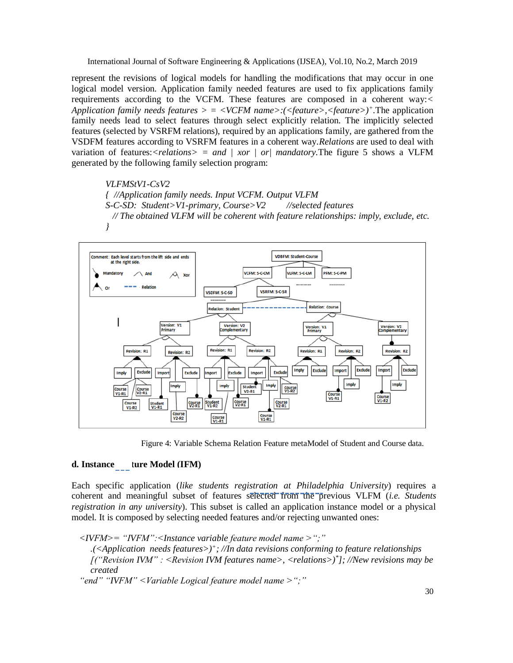represent the revisions of logical models for handling the modifications that may occur in one logical model version. Application family needed features are used to fix applications family requirements according to the VCFM. These features are composed in a coherent way:*< Application family needs features > = <VCFM name>:(<feature>,<feature>)<sup>+</sup> .*The application family needs lead to select features through select explicitly relation. The implicitly selected features (selected by VSRFM relations), required by an applications family, are gathered from the VSDFM features according to VSRFM features in a coherent way.*Relations* are used to deal with variation of features: $\langle$ *relations* $\rangle$  = and | xor | or| mandatory. The figure 5 shows a VLFM generated by the following family selection program:

*VLFMStV1-CsV2 { //Application family needs. Input VCFM. Output VLFM S-C-SD: Student>V1-primary, Course>V2 //selected features // The obtained VLFM will be coherent with feature relationships: imply, exclude, etc. }*



Figure 4: Variable Schema Relation Feature metaModel of Student and Course data.

#### **d. Instance ture Model (IFM)**

Each specific application (*like students registration at Philadelphia University*) requires a coherent and meaningful subset of features selected from the previous VLFM (*i.e. Students registration in any university*). This subset is called an application instance model or a physical model. It is composed by selecting needed features and/or rejecting unwanted ones:

*<IVFM>= "IVFM":<Instance variable feature model name >";" .(<Application needs features>)<sup>+</sup> ; //In data revisions conforming to feature relationships [("Revision IVM" : <Revision IVM features name>, <relations>)\* ]; //New revisions may be created*

*"end" "IVFM" <Variable Logical feature model name >";"*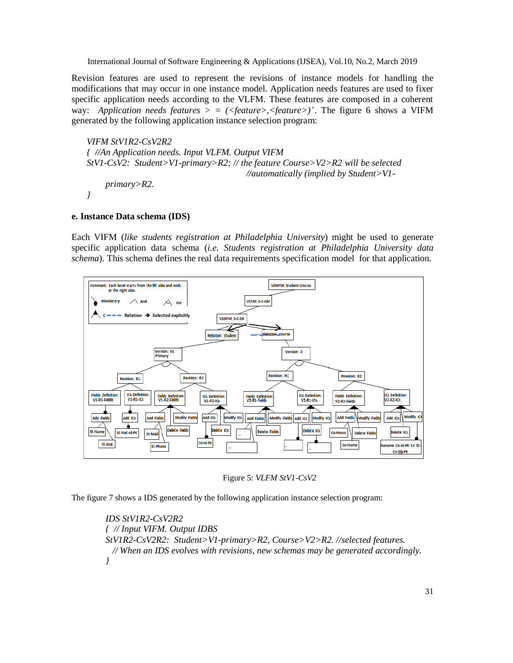Revision features are used to represent the revisions of instance models for handling the modifications that may occur in one instance model. Application needs features are used to fixer specific application needs according to the VLFM. These features are composed in a coherent way: *Application needs features > = (<feature>,<feature>)<sup>+</sup> .* The figure 6 shows a VIFM generated by the following application instance selection program:

*VIFM StV1R2-CsV2R2 { //An Application needs. Input VLFM. Output VIFM StV1-CsV2: Student>V1-primary>R2; // the feature Course>V2>R2 will be selected //automatically (implied by Student>V1 primary>R2. }*

#### **e. Instance Data schema (IDS)**

Each VIFM (*like students registration at Philadelphia University*) might be used to generate specific application data schema (*i.e. Students registration at Philadelphia University data schema*). This schema defines the real data requirements specification model for that application.



Figure 5: *VLFM StV1-CsV2*

The figure 7 shows a IDS generated by the following application instance selection program:

*IDS StV1R2-CsV2R2 { // Input VIFM. Output IDBS StV1R2-CsV2R2: Student>V1-primary>R2, Course>V2>R2. //selected features. // When an IDS evolves with revisions, new schemas may be generated accordingly. }*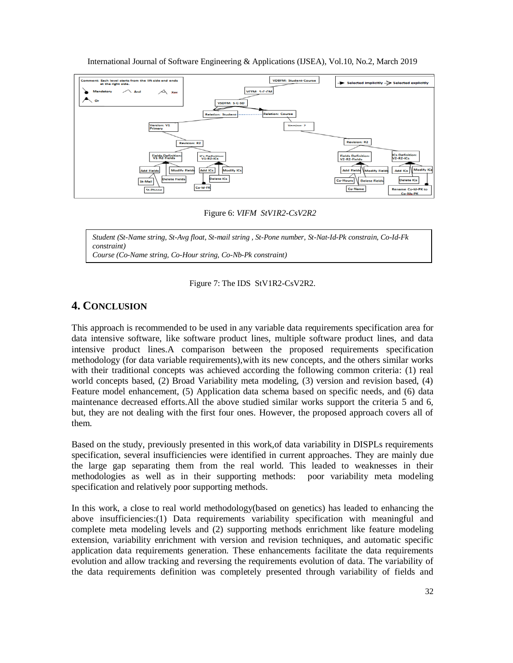

Figure 6: *VIFM StV1R2-CsV2R2*

*Student (St-Name string, St-Avg float, St-mail string , St-Pone number, St-Nat-Id-Pk constrain, Co-Id-Fk constraint) Course (Co-Name string, Co-Hour string, Co-Nb-Pk constraint)*



## **4. CONCLUSION**

This approach is recommended to be used in any variable data requirements specification area for data intensive software, like software product lines, multiple software product lines, and data intensive product lines.A comparison between the proposed requirements specification methodology (for data variable requirements),with its new concepts, and the others similar works with their traditional concepts was achieved according the following common criteria: (1) real world concepts based, (2) Broad Variability meta modeling, (3) version and revision based, (4) Feature model enhancement, (5) Application data schema based on specific needs, and (6) data maintenance decreased efforts.All the above studied similar works support the criteria 5 and 6, but, they are not dealing with the first four ones. However, the proposed approach covers all of them.

Based on the study, previously presented in this work,of data variability in DISPLs requirements specification, several insufficiencies were identified in current approaches. They are mainly due the large gap separating them from the real world. This leaded to weaknesses in their methodologies as well as in their supporting methods: poor variability meta modeling specification and relatively poor supporting methods.

In this work, a close to real world methodology(based on genetics) has leaded to enhancing the above insufficiencies:(1) Data requirements variability specification with meaningful and complete meta modeling levels and (2) supporting methods enrichment like feature modeling extension, variability enrichment with version and revision techniques, and automatic specific application data requirements generation. These enhancements facilitate the data requirements evolution and allow tracking and reversing the requirements evolution of data. The variability of the data requirements definition was completely presented through variability of fields and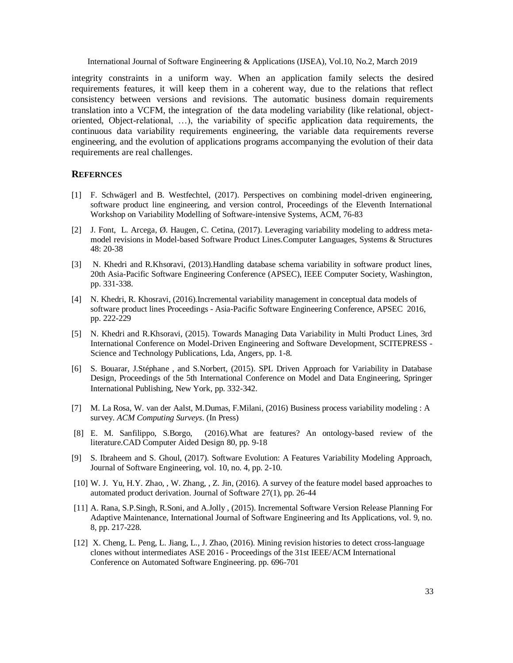integrity constraints in a uniform way. When an application family selects the desired requirements features, it will keep them in a coherent way, due to the relations that reflect consistency between versions and revisions. The automatic business domain requirements translation into a VCFM, the integration of the data modeling variability (like relational, objectoriented, Object-relational, …), the variability of specific application data requirements, the continuous data variability requirements engineering, the variable data requirements reverse engineering, and the evolution of applications programs accompanying the evolution of their data requirements are real challenges.

#### **REFERNCES**

- [1] F. Schwägerl and B. Westfechtel, (2017). Perspectives on combining model-driven engineering, software product line engineering, and version control, Proceedings of the Eleventh International Workshop on Variability Modelling of Software-intensive Systems, ACM, 76-83
- [2] [J. Font,](http://dblp.uni-trier.de/pers/hd/f/Font:Jaime) [L. Arcega,](http://dblp.uni-trier.de/pers/hd/a/Arcega:Lorena) [Ø. Haugen,](http://dblp.uni-trier.de/pers/hd/h/Haugen:=Oslash=ystein) [C. Cetina,](http://dblp.uni-trier.de/pers/hd/c/Cetina:Carlos) (2017). Leveraging variability modeling to address metamodel revisions in Model-based Software Product Line[s.Computer Languages, Systems & Structures](http://dblp.uni-trier.de/db/journals/cl/cl48.html#FontAHC17)  [48:](http://dblp.uni-trier.de/db/journals/cl/cl48.html#FontAHC17) 20-38
- [3] N. Khedri and R.Khsoravi, (2013).Handling database schema variability in software product lines, 20th Asia-Pacific Software Engineering Conference (APSEC), IEEE Computer Society, Washington, pp. 331-338.
- [4] N. [Khedri, R](https://www.scopus.com/authid/detail.uri?origin=resultslist&authorId=56717743900&zone=)[. Khosravi, \(2016\).Incremental variability management in conceptual data models of](https://www.scopus.com/authid/detail.uri?origin=resultslist&authorId=56265703900&zone=)  [software product lines](https://www.scopus.com/record/display.uri?eid=2-s2.0-84974687869&origin=resultslist&sort=r-f&src=s&st1=Data+variability+modeling&nlo=&nlr=&nls=&sid=8A580369910C7F3A9DE6C9C9E99E082F.wsnAw8kcdt7IPYLO0V48gA%3a200&sot=b&sdt=cl&cluster=scopubyr%2c%222017%22%2ct%2c%222016%22%2ct%2bscosubjabbr%2c%22COMP%22%2ct&sl=40&s=TITLE-ABS-KEY%28Data+variability+modeling%29&relpos=0&citeCnt=0&searchTerm=) Proceedings - Asia-Pacific Software Engineering Conference, APSEC 2016, pp. 222-229
- [5] N. Khedri and R.Khsoravi, (2015). Towards Managing Data Variability in Multi Product Lines, 3rd International Conference on Model-Driven Engineering and Software Development, SCITEPRESS - Science and Technology Publications, Lda, Angers, pp. 1-8.
- [6] S. Bouarar, J.Stéphane , and S.Norbert, (2015). SPL Driven Approach for Variability in Database Design, Proceedings of the 5th International Conference on Model and Data Engineering, Springer International Publishing, New York, pp. 332-342.
- [7] M. La Rosa, W. [van der Aalst, M](http://eprints.qut.edu.au/view/person/van_der_Aalst,_Wil.html).Dumas, F.Milani, (2016) Business process variability modeling : A survey. *ACM Computing Surveys*. (In Press)
- [8] E. M. [Sanfilippo, S](https://www.scopus.com/authid/detail.uri?origin=resultslist&authorId=55613409400&zone=)[.Borgo,](https://www.scopus.com/authid/detail.uri?origin=resultslist&authorId=22333522400&zone=) (2016[\).What are features? An ontology-based review of the](https://www.scopus.com/record/display.uri?eid=2-s2.0-84992505842&origin=resultslist&sort=r-f&src=s&st1=feature+model+review&nlo=&nlr=&nls=&sid=03E67368B6B62E3C1561CB2B926755E0.wsnAw8kcdt7IPYLO0V48gA%3a90&sot=b&sdt=cl&cluster=scopubyr%2c%222017%22%2ct%2c%222016%22%2ct%2bscosubjabbr%2c%22COMP%22%2ct&sl=35&s=TITLE-ABS-KEY%28feature+model+review%29&relpos=6&citeCnt=0&searchTerm=)  [literature](https://www.scopus.com/record/display.uri?eid=2-s2.0-84992505842&origin=resultslist&sort=r-f&src=s&st1=feature+model+review&nlo=&nlr=&nls=&sid=03E67368B6B62E3C1561CB2B926755E0.wsnAw8kcdt7IPYLO0V48gA%3a90&sot=b&sdt=cl&cluster=scopubyr%2c%222017%22%2ct%2c%222016%22%2ct%2bscosubjabbr%2c%22COMP%22%2ct&sl=35&s=TITLE-ABS-KEY%28feature+model+review%29&relpos=6&citeCnt=0&searchTerm=)[.CAD Computer Aided Design](https://www.scopus.com/sourceid/18145?origin=resultslist) 80, pp. 9-18
- [9] S. Ibraheem and S. Ghoul, (2017). Software Evolution: A Features Variability Modeling Approach, Journal of Software Engineering, vol. 10, no. 4, pp. 2-10.
- [10] W. J. Yu, H.Y. [Zhao, ,](https://www.scopus.com/authid/detail.uri?origin=resultslist&authorId=56517232800&zone=) W. [Zhang, ,](https://www.scopus.com/authid/detail.uri?origin=resultslist&authorId=56760589600&zone=) Z. Jin, (2016). [A survey of the feature model based approaches to](https://www.scopus.com/record/display.uri?eid=2-s2.0-84975679530&origin=resultslist&sort=r-f&src=s&st1=feature+model+survey&nlo=&nlr=&nls=&sid=03E67368B6B62E3C1561CB2B926755E0.wsnAw8kcdt7IPYLO0V48gA%3a320&sot=b&sdt=cl&cluster=scopubyr%2c%222016%22%2ct%2bscosubjabbr%2c%22COMP%22%2ct&sl=35&s=TITLE-ABS-KEY%28feature+model+survey%29&relpos=1&citeCnt=0&searchTerm=)  [automated product derivation.](https://www.scopus.com/record/display.uri?eid=2-s2.0-84975679530&origin=resultslist&sort=r-f&src=s&st1=feature+model+survey&nlo=&nlr=&nls=&sid=03E67368B6B62E3C1561CB2B926755E0.wsnAw8kcdt7IPYLO0V48gA%3a320&sot=b&sdt=cl&cluster=scopubyr%2c%222016%22%2ct%2bscosubjabbr%2c%22COMP%22%2ct&sl=35&s=TITLE-ABS-KEY%28feature+model+survey%29&relpos=1&citeCnt=0&searchTerm=) [Journal of Software](https://www.scopus.com/sourceid/19913?origin=resultslist) 27(1), pp. 26-44
- [11] A. Rana, S.P.Singh, R.Soni, and A.Jolly , (2015). Incremental Software Version Release Planning For Adaptive Maintenance, International Journal of Software Engineering and Its Applications, vol. 9, no. 8, pp. 217-228.
- [12] X. Cheng, L. Peng, L. [Jiang, L.,](https://www.scopus.com/authid/detail.uri?origin=resultslist&authorId=55473381400&zone=) J. Zhao, (2016). [Mining revision histories to detect cross-language](https://www.scopus.com/record/display.uri?eid=2-s2.0-84989187430&origin=resultslist&sort=r-f&src=s&st1=Software+revision&nlo=&nlr=&nls=&sid=DF4F622875AB49CA9DB441D0BE8EF53E.wsnAw8kcdt7IPYLO0V48gA%3a370&sot=b&sdt=cl&cluster=scopubyr%2c%222017%22%2ct%2c%222016%22%2ct%2bscosubjabbr%2c%22COMP%22%2ct&sl=32&s=TITLE-ABS-KEY%28Software+revision%29&relpos=4&citeCnt=1&searchTerm=)  [clones without intermediates](https://www.scopus.com/record/display.uri?eid=2-s2.0-84989187430&origin=resultslist&sort=r-f&src=s&st1=Software+revision&nlo=&nlr=&nls=&sid=DF4F622875AB49CA9DB441D0BE8EF53E.wsnAw8kcdt7IPYLO0V48gA%3a370&sot=b&sdt=cl&cluster=scopubyr%2c%222017%22%2ct%2c%222016%22%2ct%2bscosubjabbr%2c%22COMP%22%2ct&sl=32&s=TITLE-ABS-KEY%28Software+revision%29&relpos=4&citeCnt=1&searchTerm=) ASE 2016 - Proceedings of the 31st IEEE/ACM International Conference on Automated Software Engineering. pp. 696-701